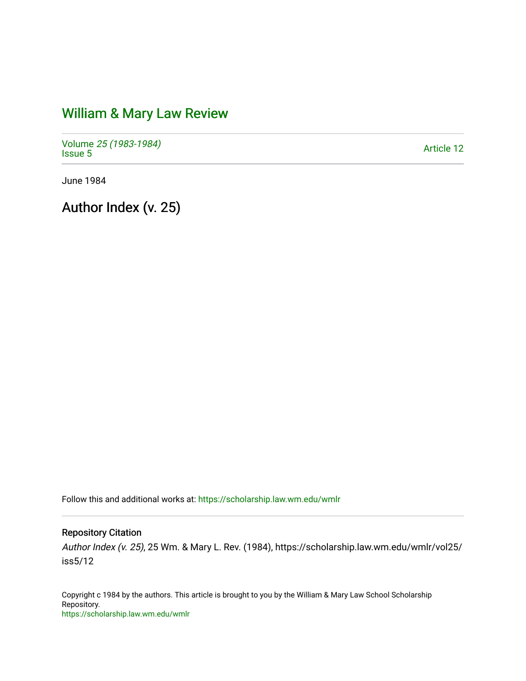## [William & Mary Law Review](https://scholarship.law.wm.edu/wmlr)

Volume [25 \(1983-1984\)](https://scholarship.law.wm.edu/wmlr/vol25)  Polarite 25 (1965-1964)<br>[Issue 5](https://scholarship.law.wm.edu/wmlr/vol25/iss5) Article 12

June 1984

Author Index (v. 25)

Follow this and additional works at: [https://scholarship.law.wm.edu/wmlr](https://scholarship.law.wm.edu/wmlr?utm_source=scholarship.law.wm.edu%2Fwmlr%2Fvol25%2Fiss5%2F12&utm_medium=PDF&utm_campaign=PDFCoverPages)

## Repository Citation

Author Index (v. 25), 25 Wm. & Mary L. Rev. (1984), https://scholarship.law.wm.edu/wmlr/vol25/ iss5/12

Copyright c 1984 by the authors. This article is brought to you by the William & Mary Law School Scholarship Repository. <https://scholarship.law.wm.edu/wmlr>